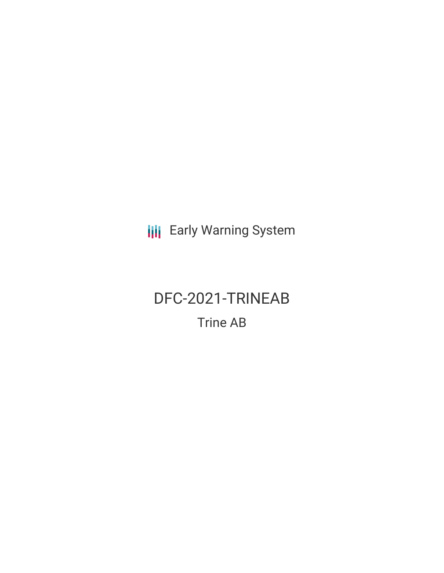**III** Early Warning System

# DFC-2021-TRINEAB Trine AB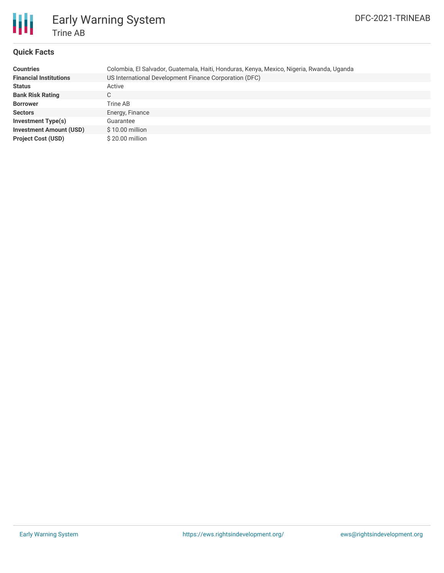

# Early Warning System Trine AB

## **Quick Facts**

| <b>Countries</b>               | Colombia, El Salvador, Guatemala, Haiti, Honduras, Kenya, Mexico, Nigeria, Rwanda, Uganda |
|--------------------------------|-------------------------------------------------------------------------------------------|
| <b>Financial Institutions</b>  | US International Development Finance Corporation (DFC)                                    |
| <b>Status</b>                  | Active                                                                                    |
| <b>Bank Risk Rating</b>        | C                                                                                         |
| <b>Borrower</b>                | Trine AB                                                                                  |
| <b>Sectors</b>                 | Energy, Finance                                                                           |
| Investment Type(s)             | Guarantee                                                                                 |
| <b>Investment Amount (USD)</b> | $$10.00$ million                                                                          |
| <b>Project Cost (USD)</b>      | \$20.00 million                                                                           |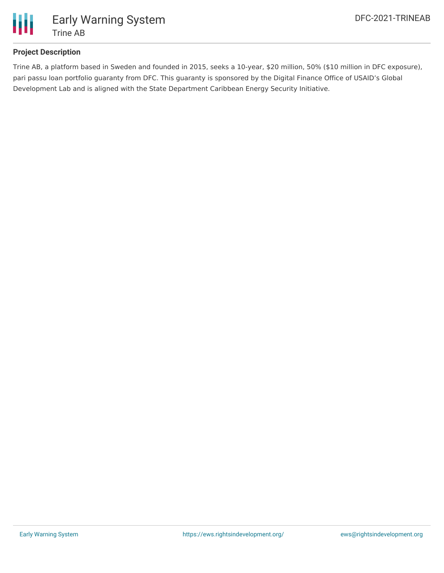

# **Project Description**

Trine AB, a platform based in Sweden and founded in 2015, seeks a 10-year, \$20 million, 50% (\$10 million in DFC exposure), pari passu loan portfolio guaranty from DFC. This guaranty is sponsored by the Digital Finance Office of USAID's Global Development Lab and is aligned with the State Department Caribbean Energy Security Initiative.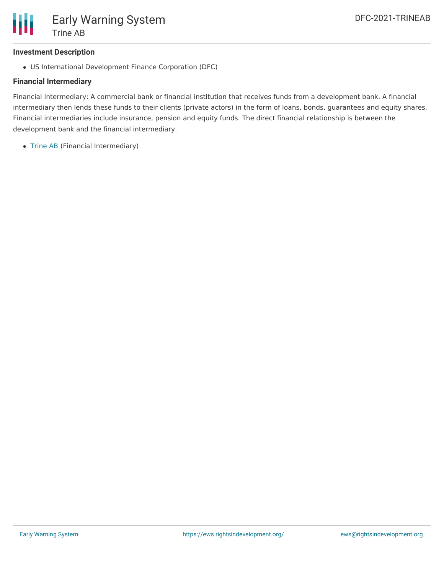

#### **Investment Description**

US International Development Finance Corporation (DFC)

#### **Financial Intermediary**

Financial Intermediary: A commercial bank or financial institution that receives funds from a development bank. A financial intermediary then lends these funds to their clients (private actors) in the form of loans, bonds, guarantees and equity shares. Financial intermediaries include insurance, pension and equity funds. The direct financial relationship is between the development bank and the financial intermediary.

• [Trine](file:///actor/3865/) AB (Financial Intermediary)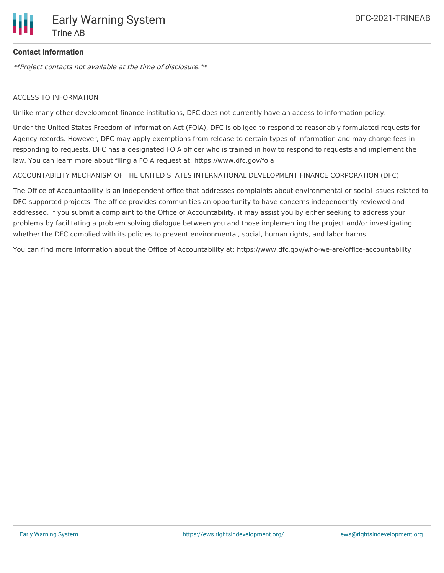

## **Contact Information**

\*\*Project contacts not available at the time of disclosure.\*\*

#### ACCESS TO INFORMATION

Unlike many other development finance institutions, DFC does not currently have an access to information policy.

Under the United States Freedom of Information Act (FOIA), DFC is obliged to respond to reasonably formulated requests for Agency records. However, DFC may apply exemptions from release to certain types of information and may charge fees in responding to requests. DFC has a designated FOIA officer who is trained in how to respond to requests and implement the law. You can learn more about filing a FOIA request at: https://www.dfc.gov/foia

#### ACCOUNTABILITY MECHANISM OF THE UNITED STATES INTERNATIONAL DEVELOPMENT FINANCE CORPORATION (DFC)

The Office of Accountability is an independent office that addresses complaints about environmental or social issues related to DFC-supported projects. The office provides communities an opportunity to have concerns independently reviewed and addressed. If you submit a complaint to the Office of Accountability, it may assist you by either seeking to address your problems by facilitating a problem solving dialogue between you and those implementing the project and/or investigating whether the DFC complied with its policies to prevent environmental, social, human rights, and labor harms.

You can find more information about the Office of Accountability at: https://www.dfc.gov/who-we-are/office-accountability